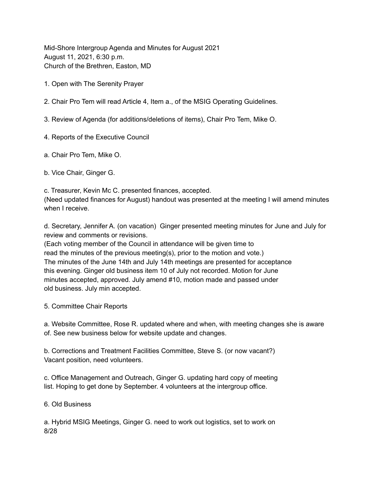Mid-Shore Intergroup Agenda and Minutes for August 2021 August 11, 2021, 6:30 p.m. Church of the Brethren, Easton, MD

1. Open with The Serenity Prayer

2. Chair Pro Tem will read Article 4, Item a., of the MSIG Operating Guidelines.

3. Review of Agenda (for additions/deletions of items), Chair Pro Tem, Mike O.

- 4. Reports of the Executive Council
- a. Chair Pro Tem, Mike O.

b. Vice Chair, Ginger G.

c. Treasurer, Kevin Mc C. presented finances, accepted. (Need updated finances for August) handout was presented at the meeting I will amend minutes when I receive.

d. Secretary, Jennifer A. (on vacation) Ginger presented meeting minutes for June and July for review and comments or revisions.

(Each voting member of the Council in attendance will be given time to read the minutes of the previous meeting(s), prior to the motion and vote.) The minutes of the June 14th and July 14th meetings are presented for acceptance this evening. Ginger old business item 10 of July not recorded. Motion for June minutes accepted, approved. July amend #10, motion made and passed under old business. July min accepted.

5. Committee Chair Reports

a. Website Committee, Rose R. updated where and when, with meeting changes she is aware of. See new business below for website update and changes.

b. Corrections and Treatment Facilities Committee, Steve S. (or now vacant?) Vacant position, need volunteers.

c. Office Management and Outreach, Ginger G. updating hard copy of meeting list. Hoping to get done by September. 4 volunteers at the intergroup office.

6. Old Business

a. Hybrid MSIG Meetings, Ginger G. need to work out logistics, set to work on 8/28